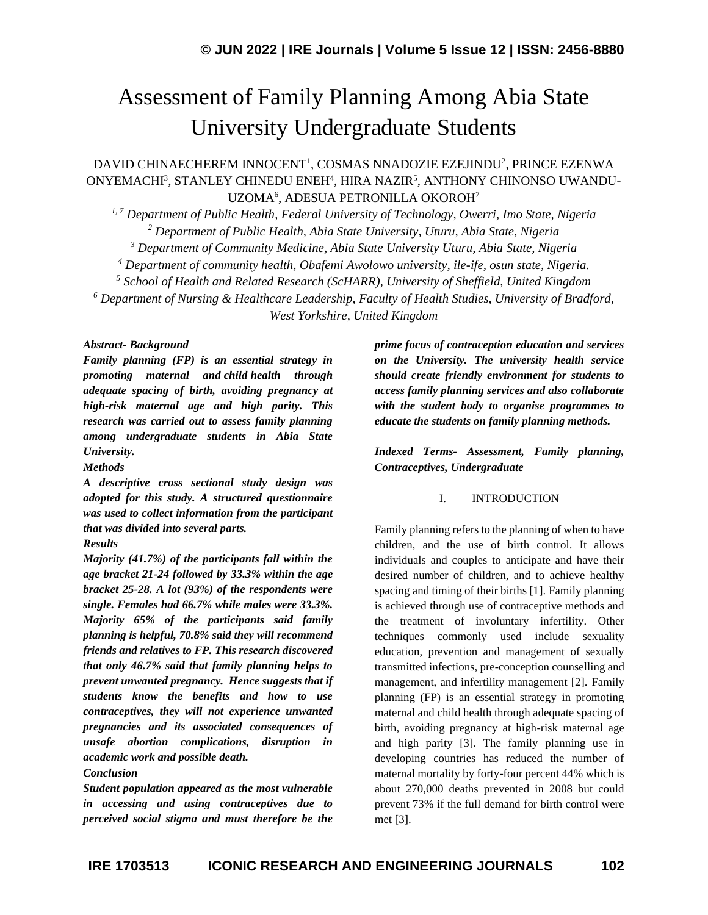# Assessment of Family Planning Among Abia State University Undergraduate Students

DAVID CHINAECHEREM INNOCENT<sup>1</sup>, COSMAS NNADOZIE EZEJINDU<sup>2</sup>, PRINCE EZENWA ONYEMACHI<sup>3</sup>, STANLEY CHINEDU ENEH<sup>4</sup>, HIRA NAZIR<sup>5</sup>, ANTHONY CHINONSO UWANDU-UZOMA<sup>6</sup>, ADESUA PETRONILLA OKOROH<sup>7</sup>

*1, 7 Department of Public Health, Federal University of Technology, Owerri, Imo State, Nigeria Department of Public Health, Abia State University, Uturu, Abia State, Nigeria Department of Community Medicine, Abia State University Uturu, Abia State, Nigeria Department of community health, Obafemi Awolowo university, ile-ife, osun state, Nigeria. School of Health and Related Research (ScHARR), University of Sheffield, United Kingdom Department of Nursing & Healthcare Leadership, Faculty of Health Studies, University of Bradford, West Yorkshire, United Kingdom*

#### *Abstract- Background*

*Family planning (FP) is an essential strategy in promoting maternal and [child](https://childhood-obesity.imedpub.com/) health through adequate spacing of birth, avoiding pregnancy at high-risk maternal age and high parity. This research was carried out to assess family planning among undergraduate students in Abia State University.* 

*Methods*

*A descriptive cross sectional study design was adopted for this study. A structured questionnaire was used to collect information from the participant that was divided into several parts.* 

#### *Results*

*Majority (41.7%) of the participants fall within the age bracket 21-24 followed by 33.3% within the age bracket 25-28. A lot (93%) of the respondents were single. Females had 66.7% while males were 33.3%. Majority 65% of the participants said family planning is helpful, 70.8% said they will recommend friends and relatives to FP. This research discovered that only 46.7% said that family planning helps to prevent unwanted pregnancy. Hence suggests that if students know the benefits and how to use contraceptives, they will not experience unwanted pregnancies and its associated consequences of unsafe abortion complications, disruption in academic work and possible death.* 

#### *Conclusion*

*Student population appeared as the most vulnerable in accessing and using contraceptives due to perceived social stigma and must therefore be the*  *prime focus of contraception education and services on the University. The university health service should create friendly environment for students to access family planning services and also collaborate with the student body to organise programmes to educate the students on family planning methods.*

*Indexed Terms- Assessment, Family planning, Contraceptives, Undergraduate*

#### I. INTRODUCTION

Family planning refers to the planning of when to have children, and the use of birth control. It allows individuals and couples to anticipate and have their desired number of children, and to achieve healthy spacing and timing of their births [1]. Family planning is achieved through use of contraceptive methods and the treatment of involuntary infertility. Other techniques commonly used include sexuality education, prevention and management of sexually transmitted infections, pre-conception counselling and management, and infertility management [2]. Family planning (FP) is an essential strategy in promoting maternal and [child](https://childhood-obesity.imedpub.com/) health through adequate spacing of birth, avoiding pregnancy at high-risk maternal age and high parity [3]. The family planning use in developing countries has reduced the number of maternal mortality by forty-four percent 44% which is about 270,000 deaths prevented in 2008 but could prevent 73% if the full demand for birth control were met [3].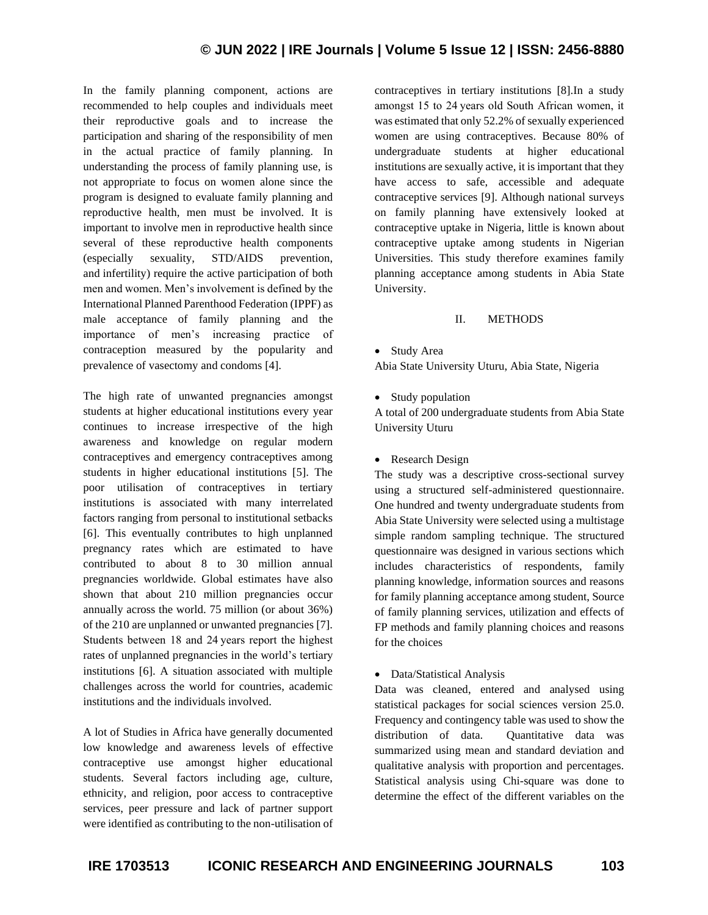In the family planning component, actions are recommended to help couples and individuals meet their reproductive goals and to increase the participation and sharing of the responsibility of men in the actual practice of family planning. In understanding the process of family planning use, is not appropriate to focus on women alone since the program is designed to evaluate family planning and reproductive health, men must be involved. It is important to involve men in reproductive health since several of these reproductive health components (especially sexuality, STD/AIDS prevention, and [infertility\)](https://reproductive-endocrinology-infertility.imedpub.com/) require the active participation of both men and women. Men's involvement is defined by the International Planned Parenthood Federation (IPPF) as male acceptance of family planning and the importance of men's increasing practice of contraception measured by the popularity and prevalence of vasectomy and condoms [4].

The high rate of unwanted pregnancies amongst students at higher educational institutions every year continues to increase irrespective of the high awareness and knowledge on regular modern contraceptives and emergency contraceptives among students in higher educational institutions [5]. The poor utilisation of contraceptives in tertiary institutions is associated with many interrelated factors ranging from personal to institutional setbacks [6]. This eventually contributes to high unplanned pregnancy rates which are estimated to have contributed to about 8 to 30 million annual pregnancies worldwide. Global estimates have also shown that about 210 million pregnancies occur annually across the world. 75 million (or about 36%) of the 210 are unplanned or unwanted pregnancies [7]. Students between 18 and 24 years report the highest rates of unplanned pregnancies in the world's tertiary institutions [6]. A situation associated with multiple challenges across the world for countries, academic institutions and the individuals involved.

A lot of Studies in Africa have generally documented low knowledge and awareness levels of effective contraceptive use amongst higher educational students. Several factors including age, culture, ethnicity, and religion, poor access to contraceptive services, peer pressure and lack of partner support were identified as contributing to the non-utilisation of contraceptives in tertiary institutions [8].In a study amongst 15 to 24 years old South African women, it was estimated that only 52.2% of sexually experienced women are using contraceptives. Because 80% of undergraduate students at higher educational institutions are sexually active, it is important that they have access to safe, accessible and adequate contraceptive services [9]. Although national surveys on family planning have extensively looked at contraceptive uptake in Nigeria, little is known about contraceptive uptake among students in Nigerian Universities. This study therefore examines family planning acceptance among students in Abia State University.

## II. METHODS

• Study Area

Abia State University Uturu, Abia State, Nigeria

• Study population

A total of 200 undergraduate students from Abia State University Uturu

• Research Design

The study was a descriptive cross-sectional survey using a structured self-administered questionnaire. One hundred and twenty undergraduate students from Abia State University were selected using a multistage simple random sampling technique. The structured questionnaire was designed in various sections which includes characteristics of respondents, family planning knowledge, information sources and reasons for family planning acceptance among student, Source of family planning services, utilization and effects of FP methods and family planning choices and reasons for the choices

• Data/Statistical Analysis

Data was cleaned, entered and analysed using statistical packages for social sciences version 25.0. Frequency and contingency table was used to show the distribution of data. Ouantitative data was summarized using mean and standard deviation and qualitative analysis with proportion and percentages. Statistical analysis using Chi-square was done to determine the effect of the different variables on the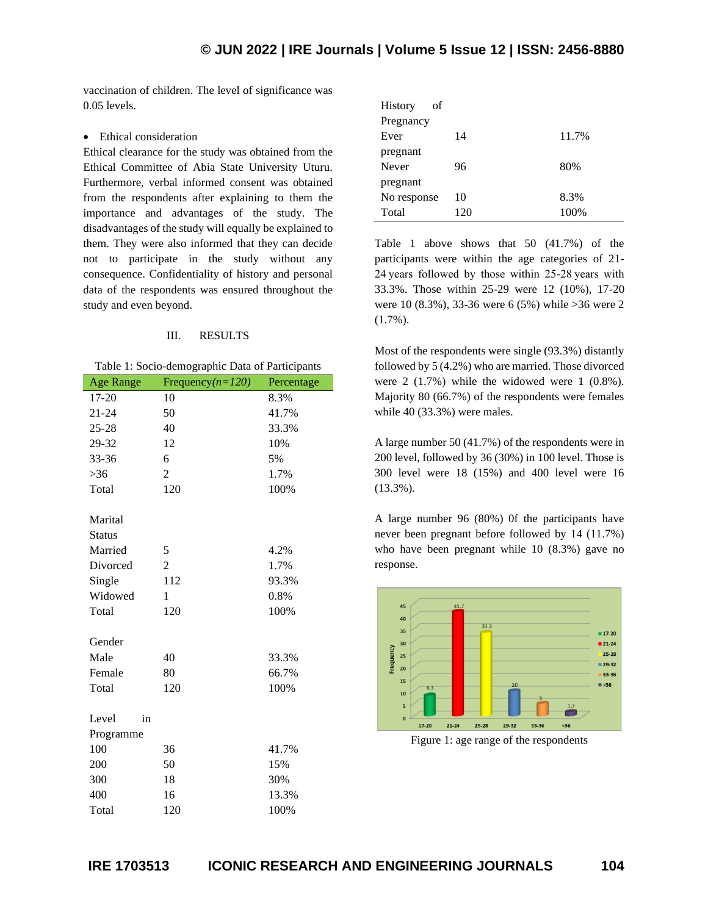vaccination of children. The level of significance was 0.05 levels.

#### • Ethical consideration

Ethical clearance for the study was obtained from the Ethical Committee of Abia State University Uturu. Furthermore, verbal informed consent was obtained from the respondents after explaining to them the importance and advantages of the study. The disadvantages of the study will equally be explained to them. They were also informed that they can decide not to participate in the study without any consequence. Confidentiality of history and personal data of the respondents was ensured throughout the study and even beyond.

#### III. RESULTS

| Table 1: Socio-demographic Data of Participants |  |  |  |  |  |  |  |
|-------------------------------------------------|--|--|--|--|--|--|--|
|-------------------------------------------------|--|--|--|--|--|--|--|

| <b>Age Range</b> | Frequency $(n=120)$ | Percentage |
|------------------|---------------------|------------|
| 17-20            | 10                  | 8.3%       |
| $21 - 24$        | 50                  | 41.7%      |
| $25 - 28$        | 40                  | 33.3%      |
| 29-32            | 12                  | 10%        |
| 33-36            | 6                   | 5%         |
| >36              | $\overline{c}$      | 1.7%       |
| Total            | 120                 | 100%       |
|                  |                     |            |
| Marital          |                     |            |
| <b>Status</b>    |                     |            |
| Married          | 5                   | 4.2%       |
| Divorced         | $\overline{c}$      | 1.7%       |
| Single           | 112                 | 93.3%      |
| Widowed          | 1                   | 0.8%       |
| Total            | 120                 | 100%       |
|                  |                     |            |
| Gender           |                     |            |
| Male             | 40                  | 33.3%      |
| Female           | 80                  | 66.7%      |
| Total            | 120                 | 100%       |
|                  |                     |            |
| Level<br>in      |                     |            |
| Programme        |                     |            |
| 100              | 36                  | 41.7%      |
| 200              | 50                  | 15%        |
| 300              | 18                  | 30%        |
| 400              | 16                  | 13.3%      |
| Total            | 120                 | 100%       |

| <b>History</b><br>οf |     |       |
|----------------------|-----|-------|
| Pregnancy            |     |       |
| Ever                 | 14  | 11.7% |
| pregnant             |     |       |
| Never                | 96  | 80%   |
| pregnant             |     |       |
| No response          | 10  | 8.3%  |
| Total                | 120 | 100%  |

Table 1 above shows that 50 (41.7%) of the participants were within the age categories of 21- 24 years followed by those within 25-28 years with 33.3%. Those within 25-29 were 12 (10%), 17-20 were 10 (8.3%), 33-36 were 6 (5%) while >36 were 2 (1.7%).

Most of the respondents were single (93.3%) distantly followed by 5 (4.2%) who are married. Those divorced were 2 (1.7%) while the widowed were 1 (0.8%). Majority 80 (66.7%) of the respondents were females while 40 (33.3%) were males.

A large number 50 (41.7%) of the respondents were in 200 level, followed by 36 (30%) in 100 level. Those is 300 level were 18 (15%) and 400 level were 16 (13.3%).

A large number 96 (80%) 0f the participants have never been pregnant before followed by 14 (11.7%) who have been pregnant while 10 (8.3%) gave no response.



Figure 1: age range of the respondents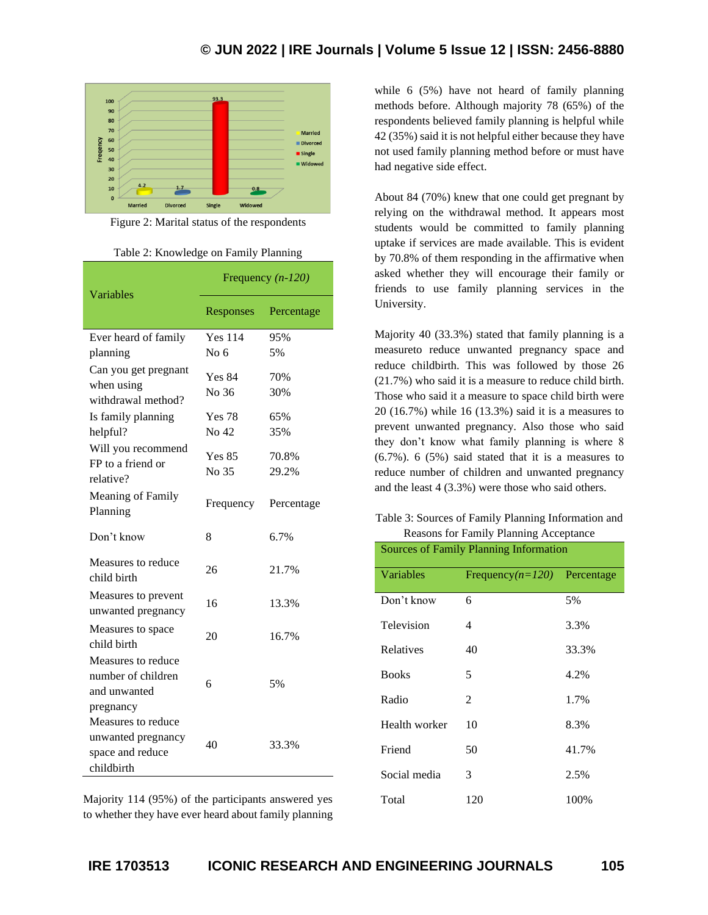

Figure 2: Marital status of the respondents

| Table 2: Knowledge on Family Planning |  |
|---------------------------------------|--|
|                                       |  |

| Variables                                                                               | Frequency $(n-120)$    |                |  |
|-----------------------------------------------------------------------------------------|------------------------|----------------|--|
|                                                                                         | Responses              | Percentage     |  |
| Ever heard of family                                                                    | <b>Yes 114</b>         | 95%            |  |
| planning                                                                                | No <sub>6</sub>        | 5%             |  |
| Can you get pregnant<br>when using                                                      | <b>Yes 84</b><br>No 36 | 70%<br>30%     |  |
| withdrawal method?                                                                      |                        |                |  |
| Is family planning                                                                      | <b>Yes 78</b>          | 65%            |  |
| helpful?                                                                                | No 42                  | 35%            |  |
| Will you recommend<br>FP to a friend or<br>relative?                                    | <b>Yes 85</b><br>No 35 | 70.8%<br>29.2% |  |
| Meaning of Family<br>Planning                                                           | Frequency              | Percentage     |  |
| Don't know                                                                              | 8                      | 6.7%           |  |
| Measures to reduce<br>child birth                                                       | 26                     | 21.7%          |  |
| Measures to prevent<br>unwanted pregnancy                                               | 16                     | 13.3%          |  |
| Measures to space<br>child birth                                                        | 20                     | 16.7%          |  |
| Measures to reduce<br>number of children<br>and unwanted                                | 6                      | 5%             |  |
| pregnancy<br>Measures to reduce<br>unwanted pregnancy<br>space and reduce<br>childbirth | 40                     | 33.3%          |  |

Majority 114 (95%) of the participants answered yes to whether they have ever heard about family planning

while 6 (5%) have not heard of family planning methods before. Although majority 78 (65%) of the respondents believed family planning is helpful while 42 (35%) said it is not helpful either because they have not used family planning method before or must have had negative side effect.

About 84 (70%) knew that one could get pregnant by relying on the withdrawal method. It appears most students would be committed to family planning uptake if services are made available. This is evident by 70.8% of them responding in the affirmative when asked whether they will encourage their family or friends to use family planning services in the University.

Majority 40 (33.3%) stated that family planning is a measureto reduce unwanted pregnancy space and reduce childbirth. This was followed by those 26 (21.7%) who said it is a measure to reduce child birth. Those who said it a measure to space child birth were 20 (16.7%) while 16 (13.3%) said it is a measures to prevent unwanted pregnancy. Also those who said they don't know what family planning is where 8 (6.7%). 6 (5%) said stated that it is a measures to reduce number of children and unwanted pregnancy and the least 4 (3.3%) were those who said others.

## Table 3: Sources of Family Planning Information and Reasons for Family Planning Acceptance

| <b>Sources of Family Planning Information</b> |                                 |       |  |  |
|-----------------------------------------------|---------------------------------|-------|--|--|
| Variables                                     | Frequency( $n=120$ ) Percentage |       |  |  |
| Don't know                                    | 6                               | 5%    |  |  |
| Television                                    | 4                               | 3.3%  |  |  |
| Relatives                                     | 40                              | 33.3% |  |  |
| <b>Books</b>                                  | 5                               | 4.2%  |  |  |
| Radio                                         | 2                               | 1.7%  |  |  |
| Health worker                                 | 10                              | 8.3%  |  |  |
| Friend                                        | 50                              | 41.7% |  |  |
| Social media                                  | 3                               | 2.5%  |  |  |
| Total                                         | 120                             | 100%  |  |  |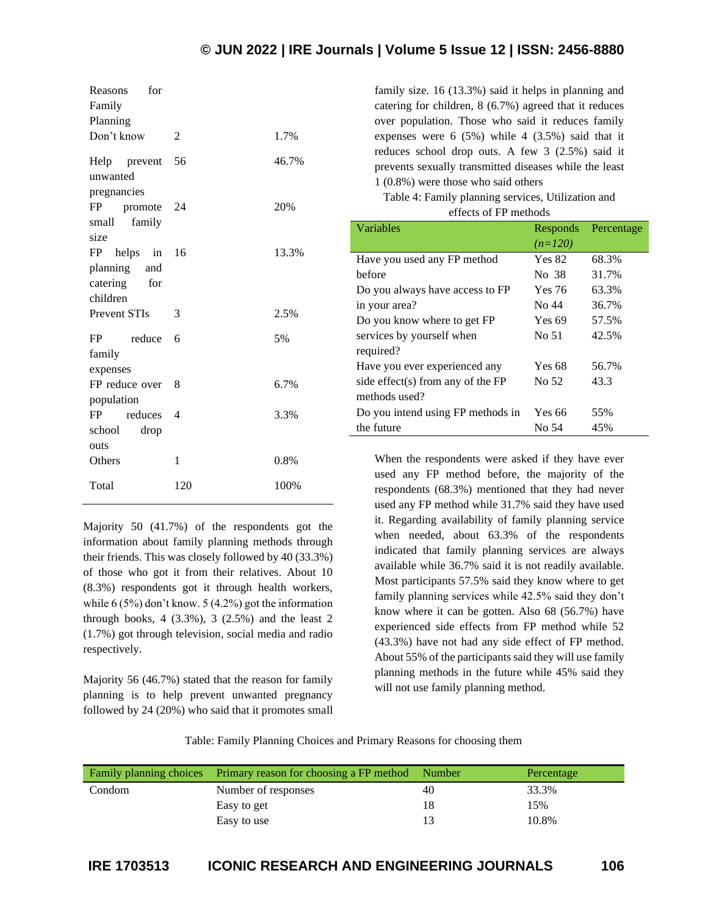| for<br>Reasons<br>Family<br>Planning<br>Don't know         | 2                        | 1.7%  |
|------------------------------------------------------------|--------------------------|-------|
| Help prevent<br>unwanted<br>pregnancies                    | 56                       | 46.7% |
| FP<br>promote<br>family<br>small<br>size                   | 24                       | 20%   |
| helps in<br>FP<br>planning and<br>catering for<br>children | 16                       | 13.3% |
| <b>Prevent STIs</b>                                        | 3                        | 2.5%  |
| FP<br>reduce<br>family<br>expenses                         | 6                        | 5%    |
| FP reduce over                                             | 8                        | 6.7%  |
| population<br>FP.<br>reduces<br>school<br>drop             | $\overline{\mathcal{A}}$ | 3.3%  |
| outs<br>Others                                             | 1                        | 0.8%  |
| Total                                                      | 120                      | 100%  |

Majority 50 (41.7%) of the respondents got the information about family planning methods through their friends. This was closely followed by 40 (33.3%) of those who got it from their relatives. About 10 (8.3%) respondents got it through health workers, while 6 (5%) don't know. 5 (4.2%) got the information through books,  $4$  (3.3%),  $3$  (2.5%) and the least 2 (1.7%) got through television, social media and radio respectively.

Majority 56 (46.7%) stated that the reason for family planning is to help prevent unwanted pregnancy followed by 24 (20%) who said that it promotes small family size. 16 (13.3%) said it helps in planning and catering for children, 8 (6.7%) agreed that it reduces over population. Those who said it reduces family expenses were 6 (5%) while 4 (3.5%) said that it reduces school drop outs. A few 3 (2.5%) said it prevents sexually transmitted diseases while the least 1 (0.8%) were those who said others

Table 4: Family planning services, Utilization and effects of FP methods

| Variables                         | Responds      | Percentage |
|-----------------------------------|---------------|------------|
|                                   | $(n=120)$     |            |
| Have you used any FP method       | <b>Yes 82</b> | 68.3%      |
| before                            | No 38         | 31.7%      |
| Do you always have access to FP   | Yes 76        | 63.3%      |
| in your area?                     | No 44         | 36.7%      |
| Do you know where to get FP       | Yes 69        | 57.5%      |
| services by yourself when         | No 51         | 42.5%      |
| required?                         |               |            |
| Have you ever experienced any     | Yes 68        | 56.7%      |
| side effect(s) from any of the FP | No 52         | 43.3       |
| methods used?                     |               |            |
| Do you intend using FP methods in | Yes 66        | 55%        |
| the future                        | No 54         | 45%        |

When the respondents were asked if they have ever used any FP method before, the majority of the respondents (68.3%) mentioned that they had never used any FP method while 31.7% said they have used it. Regarding availability of family planning service when needed, about 63.3% of the respondents indicated that family planning services are always available while 36.7% said it is not readily available. Most participants 57.5% said they know where to get family planning services while 42.5% said they don't know where it can be gotten. Also 68 (56.7%) have experienced side effects from FP method while 52 (43.3%) have not had any side effect of FP method. About 55% of the participants said they will use family planning methods in the future while 45% said they will not use family planning method.

Table: Family Planning Choices and Primary Reasons for choosing them

|        | Family planning choices Primary reason for choosing a FP method Number |    | Percentage |
|--------|------------------------------------------------------------------------|----|------------|
| Condom | Number of responses                                                    | 40 | 33.3%      |
|        | Easy to get                                                            | 18 | 15%        |
|        | Easy to use                                                            | 13 | 10.8%      |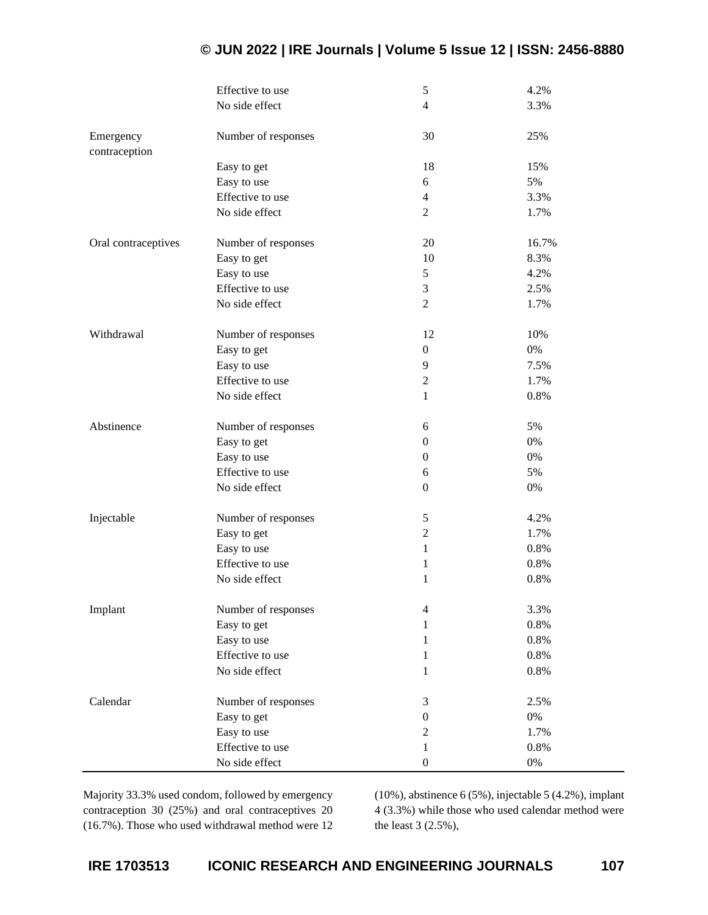|                     | Effective to use    | $\mathfrak s$    | 4.2%  |
|---------------------|---------------------|------------------|-------|
|                     | No side effect      | $\overline{4}$   | 3.3%  |
|                     |                     |                  |       |
| Emergency           | Number of responses | 30               | 25%   |
| contraception       |                     |                  |       |
|                     | Easy to get         | 18               | 15%   |
|                     | Easy to use         | 6                | 5%    |
|                     | Effective to use    | $\overline{4}$   | 3.3%  |
|                     | No side effect      | $\overline{2}$   | 1.7%  |
|                     |                     |                  |       |
| Oral contraceptives | Number of responses | 20               | 16.7% |
|                     | Easy to get         | 10               | 8.3%  |
|                     | Easy to use         | 5                | 4.2%  |
|                     | Effective to use    | 3                | 2.5%  |
|                     | No side effect      | $\overline{2}$   | 1.7%  |
| Withdrawal          |                     |                  | 10%   |
|                     | Number of responses | 12               | $0\%$ |
|                     | Easy to get         | $\boldsymbol{0}$ |       |
|                     | Easy to use         | 9                | 7.5%  |
|                     | Effective to use    | $\overline{2}$   | 1.7%  |
|                     | No side effect      | $\mathbf{1}$     | 0.8%  |
| Abstinence          | Number of responses | 6                | 5%    |
|                     | Easy to get         | $\boldsymbol{0}$ | $0\%$ |
|                     | Easy to use         | $\boldsymbol{0}$ | $0\%$ |
|                     | Effective to use    | 6                | 5%    |
|                     | No side effect      | $\boldsymbol{0}$ | $0\%$ |
|                     |                     |                  |       |
| Injectable          | Number of responses | $\mathfrak s$    | 4.2%  |
|                     | Easy to get         | $\overline{2}$   | 1.7%  |
|                     | Easy to use         | $\mathbf{1}$     | 0.8%  |
|                     | Effective to use    | 1                | 0.8%  |
|                     | No side effect      | $\mathbf{1}$     | 0.8%  |
|                     |                     |                  |       |
| Implant             | Number of responses | $\overline{4}$   | 3.3%  |
|                     | Easy to get         | $\mathbf{1}$     | 0.8%  |
|                     | Easy to use         | $\mathbf{1}$     | 0.8%  |
|                     | Effective to use    | $\mathbf{1}$     | 0.8%  |
|                     | No side effect      | $\mathbf{1}$     | 0.8%  |
| Calendar            | Number of responses | $\mathfrak{Z}$   | 2.5%  |
|                     | Easy to get         | $\boldsymbol{0}$ | $0\%$ |
|                     | Easy to use         | $\mathbf{2}$     | 1.7%  |
|                     | Effective to use    | $\mathbf{1}$     | 0.8%  |
|                     | No side effect      | $\boldsymbol{0}$ | $0\%$ |
|                     |                     |                  |       |

Majority 33.3% used condom, followed by emergency contraception 30 (25%) and oral contraceptives 20 (16.7%). Those who used withdrawal method were 12

(10%), abstinence 6 (5%), injectable 5 (4.2%), implant 4 (3.3%) while those who used calendar method were the least 3 (2.5%),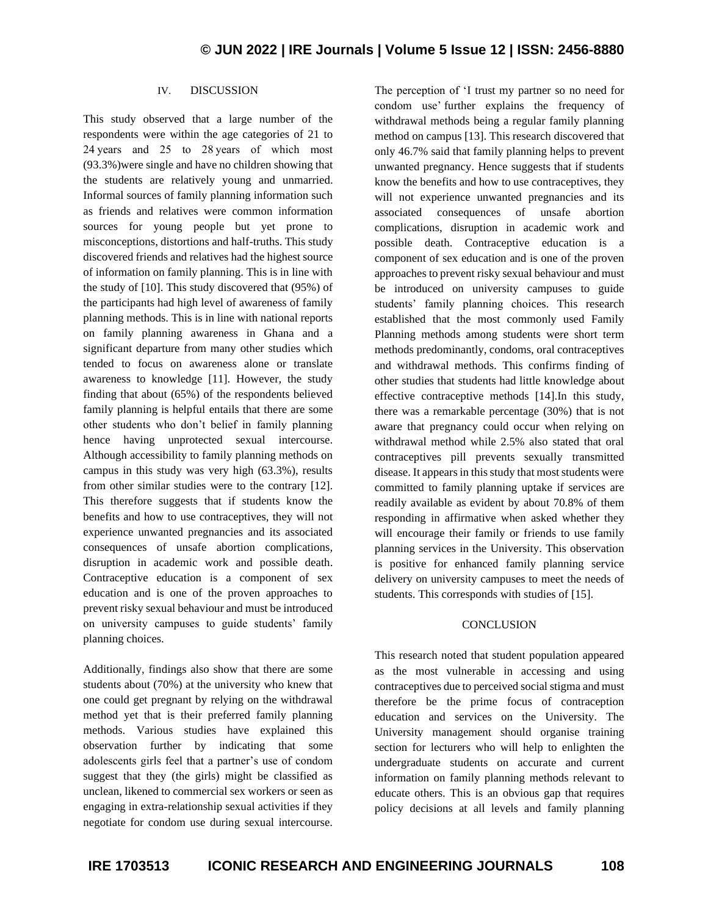## IV. DISCUSSION

This study observed that a large number of the respondents were within the age categories of 21 to 24 years and 25 to 28 years of which most (93.3%)were single and have no children showing that the students are relatively young and unmarried. Informal sources of family planning information such as friends and relatives were common information sources for young people but yet prone to misconceptions, distortions and half-truths. This study discovered friends and relatives had the highest source of information on family planning. This is in line with the study of [10]. This study discovered that (95%) of the participants had high level of awareness of family planning methods. This is in line with national reports on family planning awareness in Ghana and a significant departure from many other studies which tended to focus on awareness alone or translate awareness to knowledge [11]. However, the study finding that about (65%) of the respondents believed family planning is helpful entails that there are some other students who don't belief in family planning hence having unprotected sexual intercourse. Although accessibility to family planning methods on campus in this study was very high (63.3%), results from other similar studies were to the contrary [12]. This therefore suggests that if students know the benefits and how to use contraceptives, they will not experience unwanted pregnancies and its associated consequences of unsafe abortion complications, disruption in academic work and possible death. Contraceptive education is a component of sex education and is one of the proven approaches to prevent risky sexual behaviour and must be introduced on university campuses to guide students' family planning choices.

Additionally, findings also show that there are some students about (70%) at the university who knew that one could get pregnant by relying on the withdrawal method yet that is their preferred family planning methods. Various studies have explained this observation further by indicating that some adolescents girls feel that a partner's use of condom suggest that they (the girls) might be classified as unclean, likened to commercial sex workers or seen as engaging in extra-relationship sexual activities if they negotiate for condom use during sexual intercourse. The perception of 'I trust my partner so no need for condom use' further explains the frequency of withdrawal methods being a regular family planning method on campus [13]. This research discovered that only 46.7% said that family planning helps to prevent unwanted pregnancy. Hence suggests that if students know the benefits and how to use contraceptives, they will not experience unwanted pregnancies and its associated consequences of unsafe abortion complications, disruption in academic work and possible death. Contraceptive education is a component of sex education and is one of the proven approaches to prevent risky sexual behaviour and must be introduced on university campuses to guide students' family planning choices. This research established that the most commonly used Family Planning methods among students were short term methods predominantly, condoms, oral contraceptives and withdrawal methods. This confirms finding of other studies that students had little knowledge about effective contraceptive methods [14].In this study, there was a remarkable percentage (30%) that is not aware that pregnancy could occur when relying on withdrawal method while 2.5% also stated that oral contraceptives pill prevents sexually transmitted disease. It appears in this study that most students were committed to family planning uptake if services are readily available as evident by about 70.8% of them responding in affirmative when asked whether they will encourage their family or friends to use family planning services in the University. This observation is positive for enhanced family planning service delivery on university campuses to meet the needs of students. This corresponds with studies of [15].

#### **CONCLUSION**

This research noted that student population appeared as the most vulnerable in accessing and using contraceptives due to perceived social stigma and must therefore be the prime focus of contraception education and services on the University. The University management should organise training section for lecturers who will help to enlighten the undergraduate students on accurate and current information on family planning methods relevant to educate others. This is an obvious gap that requires policy decisions at all levels and family planning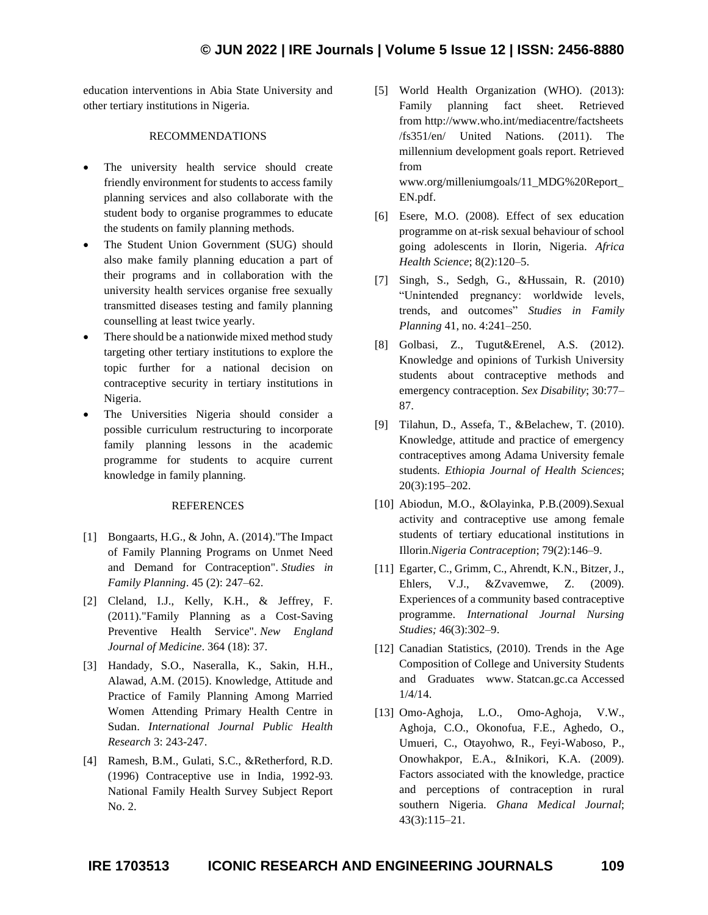education interventions in Abia State University and other tertiary institutions in Nigeria.

#### RECOMMENDATIONS

- The university health service should create friendly environment for students to access family planning services and also collaborate with the student body to organise programmes to educate the students on family planning methods.
- The Student Union Government (SUG) should also make family planning education a part of their programs and in collaboration with the university health services organise free sexually transmitted diseases testing and family planning counselling at least twice yearly.
- There should be a nationwide mixed method study targeting other tertiary institutions to explore the topic further for a national decision on contraceptive security in tertiary institutions in Nigeria.
- The Universities Nigeria should consider a possible curriculum restructuring to incorporate family planning lessons in the academic programme for students to acquire current knowledge in family planning.

#### **REFERENCES**

- [1] Bongaarts, H.G., & John, A. (2014)."The Impact of Family Planning Programs on Unmet Need and Demand for Contraception". *Studies in Family Planning*. 45 (2): 247–62.
- [2] Cleland, I.J., Kelly, K.H., & Jeffrey, F. (2011)."Family Planning as a Cost-Saving Preventive Health Service". *New England Journal of Medicine*. 364 (18): 37.
- [3] Handady, S.O., Naseralla, K., Sakin, H.H., Alawad, A.M. (2015). Knowledge, Attitude and Practice of Family Planning Among Married Women Attending Primary Health Centre in Sudan. *International Journal Public Health Research* 3: 243-247.
- [4] Ramesh, B.M., Gulati, S.C., &Retherford, R.D. (1996) Contraceptive use in India, 1992-93. National Family Health Survey Subject Report No. 2.
- [5] World Health Organization (WHO). (2013): Family planning fact sheet. Retrieved from http://www.who.int/mediacentre/factsheets /fs351/en/ United Nations. (2011). The millennium development goals report. Retrieved from www.org/milleniumgoals/11\_MDG%20Report\_ EN.pdf.
- [6] Esere, M.O. (2008). Effect of sex education programme on at-risk sexual behaviour of school going adolescents in Ilorin, Nigeria. *Africa Health Science*; 8(2):120–5.
- [7] Singh, S., Sedgh, G., &Hussain, R. (2010) "Unintended pregnancy: worldwide levels, trends, and outcomes" *Studies in Family Planning* 41, no. 4:241–250.
- [8] Golbasi, Z., Tugut&Erenel, A.S. (2012). Knowledge and opinions of Turkish University students about contraceptive methods and emergency contraception. *Sex Disability*; 30:77– 87.
- [9] Tilahun, D., Assefa, T., &Belachew, T. (2010). Knowledge, attitude and practice of emergency contraceptives among Adama University female students. *Ethiopia Journal of Health Sciences*; 20(3):195–202.
- [10] Abiodun, M.O., &Olayinka, P.B.(2009).Sexual activity and contraceptive use among female students of tertiary educational institutions in Illorin.*Nigeria Contraception*; 79(2):146–9.
- [11] Egarter, C., Grimm, C., Ahrendt, K.N., Bitzer, J., Ehlers, V.J., &Zvavemwe, Z. (2009). Experiences of a community based contraceptive programme. *International Journal Nursing Studies;* 46(3):302–9.
- [12] Canadian Statistics, (2010). Trends in the Age Composition of College and University Students and Graduates www. Statcan.gc.ca Accessed 1/4/14.
- [13] Omo-Aghoja, L.O., Omo-Aghoja, V.W., Aghoja, C.O., Okonofua, F.E., Aghedo, O., Umueri, C., Otayohwo, R., Feyi-Waboso, P., Onowhakpor, E.A., &Inikori, K.A. (2009). Factors associated with the knowledge, practice and perceptions of contraception in rural southern Nigeria. *Ghana Medical Journal*; 43(3):115–21.